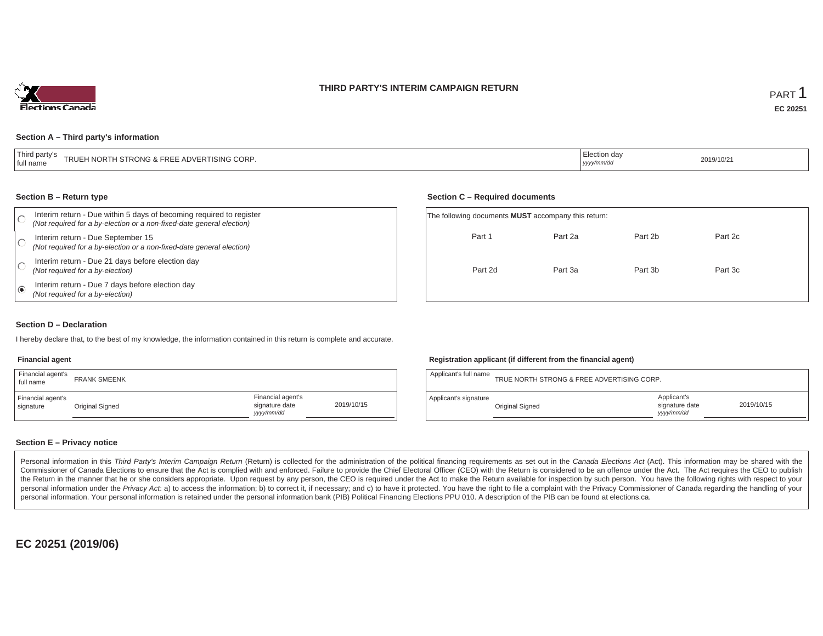### **THIRD PARTY'S INTERIM CAMPAIGN RETURN**



#### **Section A – Third party's information**

| <sup>1</sup> Thi.<br>u bartv<br>H NORTH STRONG & FREE ADVERTISING CORP.<br>TRUL<br>I full name | ection day.<br>yyyy/mm/dc | 2019/10/21 |
|------------------------------------------------------------------------------------------------|---------------------------|------------|
|------------------------------------------------------------------------------------------------|---------------------------|------------|

#### **Section B – Return type**

|   | Interim return - Due within 5 days of becoming required to register<br>(Not required for a by-election or a non-fixed-date general election) | The following documents <b>MUST</b> accompany this return: |         |         |         |  |
|---|----------------------------------------------------------------------------------------------------------------------------------------------|------------------------------------------------------------|---------|---------|---------|--|
|   | Interim return - Due September 15<br>(Not required for a by-election or a non-fixed-date general election)                                   | Part 1                                                     | Part 2a | Part 2b | Part 2c |  |
|   | Interim return - Due 21 days before election day<br>(Not required for a by-election)                                                         | Part 2d                                                    | Part 3a | Part 3b | Part 3c |  |
| ⊛ | Interim return - Due 7 days before election day<br>(Not required for a by-election)                                                          |                                                            |         |         |         |  |

#### **Section D – Declaration**

I hereby declare that, to the best of my knowledge, the information contained in this return is complete and accurate.

### **Financial agent**

| Financial agent's<br>full name | <b>FRANK SMEENK</b> |                                                  |            |
|--------------------------------|---------------------|--------------------------------------------------|------------|
| Financial agent's<br>signature | Original Signed     | Financial agent's<br>signature date<br>vyy/mm/dd | 2019/10/15 |

#### **Registration applicant (if different from the financial agent)**

**Section C – Required documents**

| Applicant's full name | TRUE NORTH STRONG & FREE ADVERTISING CORP. |                                            |            |
|-----------------------|--------------------------------------------|--------------------------------------------|------------|
| Applicant's signature | Original Signed                            | Applicant's<br>signature date<br>yyy/mm/dd | 2019/10/15 |

### **Section E – Privacy notice**

Personal information in this Third Party's Interim Campaign Return (Return) is collected for the administration of the political financing requirements as set out in the Canada Elections Act (Act). This information may be Commissioner of Canada Elections to ensure that the Act is complied with and enforced. Failure to provide the Chief Electoral Officer (CEO) with the Return is considered to be an offence under the Act. The Act requires the the Return in the manner that he or she considers appropriate. Upon request by any person, the CEO is required under the Act to make the Return available for inspection by such person. You have the following rights with re personal information under the Privacy Act. a) to access the information; b) to correct it, if necessary; and c) to have it protected. You have the right to file a complaint with the Privacy Commissioner of Canada regardin personal information. Your personal information is retained under the personal information bank (PIB) Political Financing Elections PPU 010. A description of the PIB can be found at elections.ca.

**EC 20251 (2019/06)**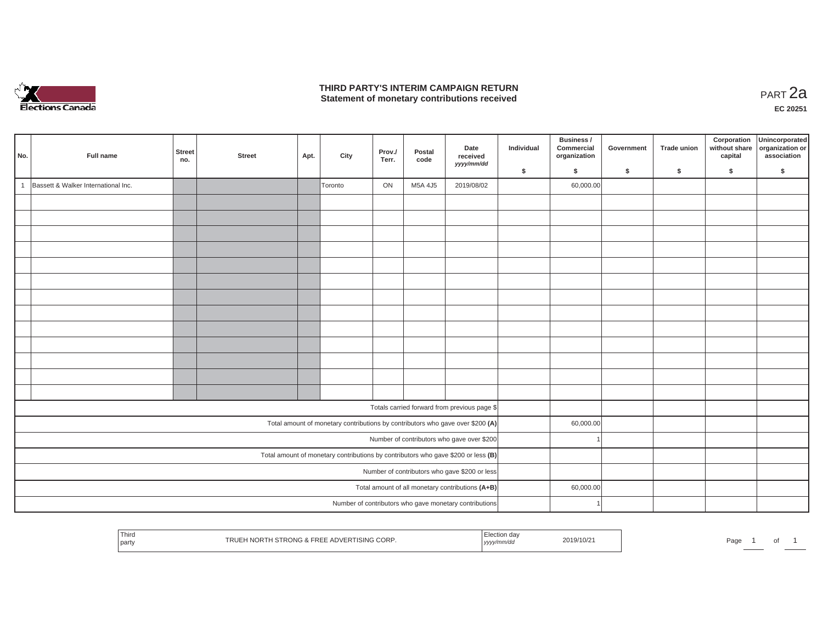

### **THIRD PARTY'S INTERIM CAMPAIGN RETURN THIRD PARTY'S INTERIM CAMPAIGN RETURN<br>Statement of monetary contributions received PART 2a**

| No.            | Full name                           | <b>Street</b><br>no. | <b>Street</b> | Apt. | City    | Prov./<br>Terr. | Postal<br>code | Date<br>received<br>yyyy/mm/dd                                                    | Individual | Business /<br>Commercial<br>organization | Government | <b>Trade union</b> | Corporation<br>without share<br>capital | Unincorporated<br>organization or<br>association |
|----------------|-------------------------------------|----------------------|---------------|------|---------|-----------------|----------------|-----------------------------------------------------------------------------------|------------|------------------------------------------|------------|--------------------|-----------------------------------------|--------------------------------------------------|
|                |                                     |                      |               |      |         |                 |                |                                                                                   | \$         | \$                                       | \$         | \$                 | \$                                      | S.                                               |
| $\overline{1}$ | Bassett & Walker International Inc. |                      |               |      | Toronto | ON              | M5A 4J5        | 2019/08/02                                                                        |            | 60,000.00                                |            |                    |                                         |                                                  |
|                |                                     |                      |               |      |         |                 |                |                                                                                   |            |                                          |            |                    |                                         |                                                  |
|                |                                     |                      |               |      |         |                 |                |                                                                                   |            |                                          |            |                    |                                         |                                                  |
|                |                                     |                      |               |      |         |                 |                |                                                                                   |            |                                          |            |                    |                                         |                                                  |
|                |                                     |                      |               |      |         |                 |                |                                                                                   |            |                                          |            |                    |                                         |                                                  |
|                |                                     |                      |               |      |         |                 |                |                                                                                   |            |                                          |            |                    |                                         |                                                  |
|                |                                     |                      |               |      |         |                 |                |                                                                                   |            |                                          |            |                    |                                         |                                                  |
|                |                                     |                      |               |      |         |                 |                |                                                                                   |            |                                          |            |                    |                                         |                                                  |
|                |                                     |                      |               |      |         |                 |                |                                                                                   |            |                                          |            |                    |                                         |                                                  |
|                |                                     |                      |               |      |         |                 |                |                                                                                   |            |                                          |            |                    |                                         |                                                  |
|                |                                     |                      |               |      |         |                 |                |                                                                                   |            |                                          |            |                    |                                         |                                                  |
|                |                                     |                      |               |      |         |                 |                |                                                                                   |            |                                          |            |                    |                                         |                                                  |
|                |                                     |                      |               |      |         |                 |                |                                                                                   |            |                                          |            |                    |                                         |                                                  |
|                |                                     |                      |               |      |         |                 |                |                                                                                   |            |                                          |            |                    |                                         |                                                  |
|                |                                     |                      |               |      |         |                 |                | Totals carried forward from previous page \$                                      |            |                                          |            |                    |                                         |                                                  |
|                |                                     |                      |               |      |         |                 |                | Total amount of monetary contributions by contributors who gave over \$200 (A)    |            | 60,000.00                                |            |                    |                                         |                                                  |
|                |                                     |                      |               |      |         |                 |                | Number of contributors who gave over \$200                                        |            |                                          |            |                    |                                         |                                                  |
|                |                                     |                      |               |      |         |                 |                | Total amount of monetary contributions by contributors who gave \$200 or less (B) |            |                                          |            |                    |                                         |                                                  |
|                |                                     |                      |               |      |         |                 |                | Number of contributors who gave \$200 or less                                     |            |                                          |            |                    |                                         |                                                  |
|                |                                     |                      |               |      |         |                 |                | Total amount of all monetary contributions (A+B)                                  |            | 60,000.00                                |            |                    |                                         |                                                  |
|                |                                     |                      |               |      |         |                 |                | Number of contributors who gave monetary contributions                            |            |                                          |            |                    |                                         |                                                  |

| Thirc<br>TRUEH NORTH STRONG & FREE ADVERTISING CORP.<br>party | ⊡lection da⊾<br>2019/10/2<br>, yyyy/mm/dd | Page<br>ັ |
|---------------------------------------------------------------|-------------------------------------------|-----------|
|---------------------------------------------------------------|-------------------------------------------|-----------|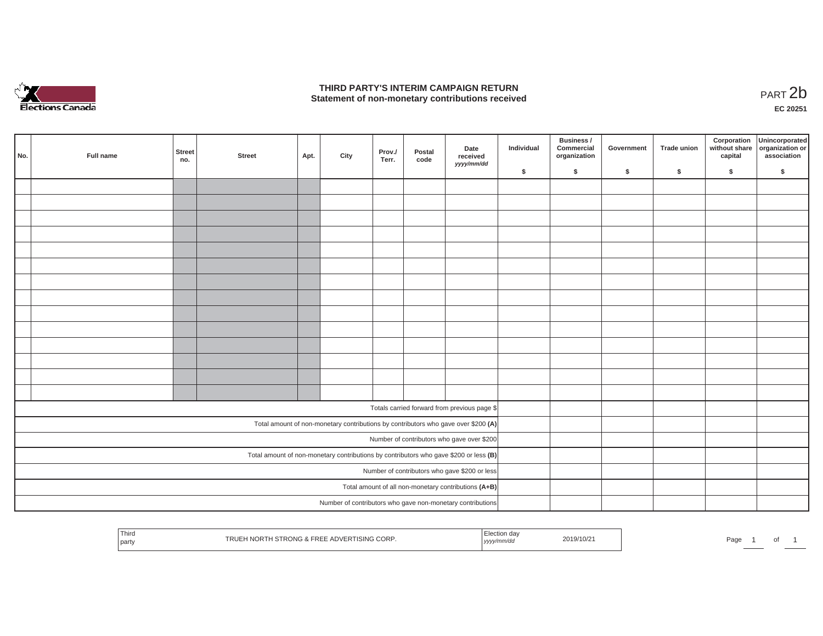

### **THIRD PARTY'S INTERIM CAMPAIGN RETURN**  THIRD PARTY'S INTERIM CAMPAIGN RETURN<br>Statement of non-monetary contributions received<br>**PART 2**b

**EC 20251**

| No. | Full name | <b>Street</b><br>no. | <b>Street</b> | Apt. | City | Prov./<br>Terr. | Postal<br>code | Date<br>received<br>yyyy/mm/dd                                                        | Individual | Business /<br>Commercial<br>organization | Government | <b>Trade union</b> | Corporation<br>without share<br>capital | Unincorporated<br>organization or<br>association |
|-----|-----------|----------------------|---------------|------|------|-----------------|----------------|---------------------------------------------------------------------------------------|------------|------------------------------------------|------------|--------------------|-----------------------------------------|--------------------------------------------------|
|     |           |                      |               |      |      |                 |                |                                                                                       | \$         | \$                                       | \$         | \$                 | \$                                      | \$                                               |
|     |           |                      |               |      |      |                 |                |                                                                                       |            |                                          |            |                    |                                         |                                                  |
|     |           |                      |               |      |      |                 |                |                                                                                       |            |                                          |            |                    |                                         |                                                  |
|     |           |                      |               |      |      |                 |                |                                                                                       |            |                                          |            |                    |                                         |                                                  |
|     |           |                      |               |      |      |                 |                |                                                                                       |            |                                          |            |                    |                                         |                                                  |
|     |           |                      |               |      |      |                 |                |                                                                                       |            |                                          |            |                    |                                         |                                                  |
|     |           |                      |               |      |      |                 |                |                                                                                       |            |                                          |            |                    |                                         |                                                  |
|     |           |                      |               |      |      |                 |                |                                                                                       |            |                                          |            |                    |                                         |                                                  |
|     |           |                      |               |      |      |                 |                |                                                                                       |            |                                          |            |                    |                                         |                                                  |
|     |           |                      |               |      |      |                 |                |                                                                                       |            |                                          |            |                    |                                         |                                                  |
|     |           |                      |               |      |      |                 |                |                                                                                       |            |                                          |            |                    |                                         |                                                  |
|     |           |                      |               |      |      |                 |                |                                                                                       |            |                                          |            |                    |                                         |                                                  |
|     |           |                      |               |      |      |                 |                |                                                                                       |            |                                          |            |                    |                                         |                                                  |
|     |           |                      |               |      |      |                 |                |                                                                                       |            |                                          |            |                    |                                         |                                                  |
|     |           |                      |               |      |      |                 |                |                                                                                       |            |                                          |            |                    |                                         |                                                  |
|     |           |                      |               |      |      |                 |                | Totals carried forward from previous page \$                                          |            |                                          |            |                    |                                         |                                                  |
|     |           |                      |               |      |      |                 |                | Total amount of non-monetary contributions by contributors who gave over \$200 (A)    |            |                                          |            |                    |                                         |                                                  |
|     |           |                      |               |      |      |                 |                | Number of contributors who gave over \$200                                            |            |                                          |            |                    |                                         |                                                  |
|     |           |                      |               |      |      |                 |                | Total amount of non-monetary contributions by contributors who gave \$200 or less (B) |            |                                          |            |                    |                                         |                                                  |
|     |           |                      |               |      |      |                 |                | Number of contributors who gave \$200 or less                                         |            |                                          |            |                    |                                         |                                                  |
|     |           |                      |               |      |      |                 |                | Total amount of all non-monetary contributions (A+B)                                  |            |                                          |            |                    |                                         |                                                  |
|     |           |                      |               |      |      |                 |                | Number of contributors who gave non-monetary contributions                            |            |                                          |            |                    |                                         |                                                  |

| 1 hird<br>ua<br>2019/10/2<br>CORF<br>TISING<br>SIRONG °<br>ıĸι<br>party<br>,,,,,,,,,,<br>yyyy// | Pag<br>ັບເ |
|-------------------------------------------------------------------------------------------------|------------|
|-------------------------------------------------------------------------------------------------|------------|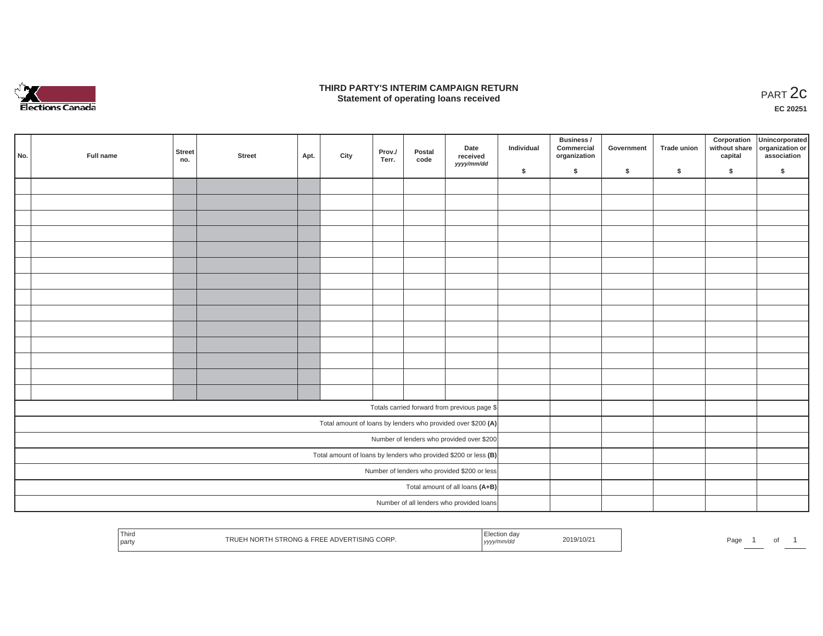

### **THIRD PARTY'S INTERIM CAMPAIGN RETURN**  RD PARTY'S INTERIM CAMPAIGN RETURN<br>Statement of operating loans received **PART 2c**

**EC 20251**

| No. | Full name | <b>Street</b><br>no. | <b>Street</b> | Apt. | City | Prov./<br>Terr. | Postal<br>code | Date<br>received<br>yyyy/mm/dd                                    | Individual | Business /<br>Commercial<br>organization | Government | Trade union | Corporation<br>capital | Unincorporated<br>without share organization or<br>association |
|-----|-----------|----------------------|---------------|------|------|-----------------|----------------|-------------------------------------------------------------------|------------|------------------------------------------|------------|-------------|------------------------|----------------------------------------------------------------|
|     |           |                      |               |      |      |                 |                |                                                                   | \$         | \$                                       | \$         | \$          | \$                     | \$                                                             |
|     |           |                      |               |      |      |                 |                |                                                                   |            |                                          |            |             |                        |                                                                |
|     |           |                      |               |      |      |                 |                |                                                                   |            |                                          |            |             |                        |                                                                |
|     |           |                      |               |      |      |                 |                |                                                                   |            |                                          |            |             |                        |                                                                |
|     |           |                      |               |      |      |                 |                |                                                                   |            |                                          |            |             |                        |                                                                |
|     |           |                      |               |      |      |                 |                |                                                                   |            |                                          |            |             |                        |                                                                |
|     |           |                      |               |      |      |                 |                |                                                                   |            |                                          |            |             |                        |                                                                |
|     |           |                      |               |      |      |                 |                |                                                                   |            |                                          |            |             |                        |                                                                |
|     |           |                      |               |      |      |                 |                |                                                                   |            |                                          |            |             |                        |                                                                |
|     |           |                      |               |      |      |                 |                |                                                                   |            |                                          |            |             |                        |                                                                |
|     |           |                      |               |      |      |                 |                |                                                                   |            |                                          |            |             |                        |                                                                |
|     |           |                      |               |      |      |                 |                |                                                                   |            |                                          |            |             |                        |                                                                |
|     |           |                      |               |      |      |                 |                |                                                                   |            |                                          |            |             |                        |                                                                |
|     |           |                      |               |      |      |                 |                |                                                                   |            |                                          |            |             |                        |                                                                |
|     |           |                      |               |      |      |                 |                |                                                                   |            |                                          |            |             |                        |                                                                |
|     |           |                      |               |      |      |                 |                |                                                                   |            |                                          |            |             |                        |                                                                |
|     |           |                      |               |      |      |                 |                | Totals carried forward from previous page \$                      |            |                                          |            |             |                        |                                                                |
|     |           |                      |               |      |      |                 |                | Total amount of loans by lenders who provided over \$200 (A)      |            |                                          |            |             |                        |                                                                |
|     |           |                      |               |      |      |                 |                | Number of lenders who provided over \$200                         |            |                                          |            |             |                        |                                                                |
|     |           |                      |               |      |      |                 |                | Total amount of loans by lenders who provided \$200 or less $(B)$ |            |                                          |            |             |                        |                                                                |
|     |           |                      |               |      |      |                 |                | Number of lenders who provided \$200 or less                      |            |                                          |            |             |                        |                                                                |
|     |           |                      |               |      |      |                 |                | Total amount of all loans (A+B)                                   |            |                                          |            |             |                        |                                                                |
|     |           |                      |               |      |      |                 |                | Number of all lenders who provided loans                          |            |                                          |            |             |                        |                                                                |
|     |           |                      |               |      |      |                 |                |                                                                   |            |                                          |            |             |                        |                                                                |

| ' Third<br>.un da∙<br>2019/10/21<br>H NORTH STRONG & FREE ADVERTISING CORP.<br>Page<br>IRU<br>H NUR I H<br>  party<br>, yyyy/mm/aa<br>. |  | וש |  |
|-----------------------------------------------------------------------------------------------------------------------------------------|--|----|--|
|-----------------------------------------------------------------------------------------------------------------------------------------|--|----|--|

L.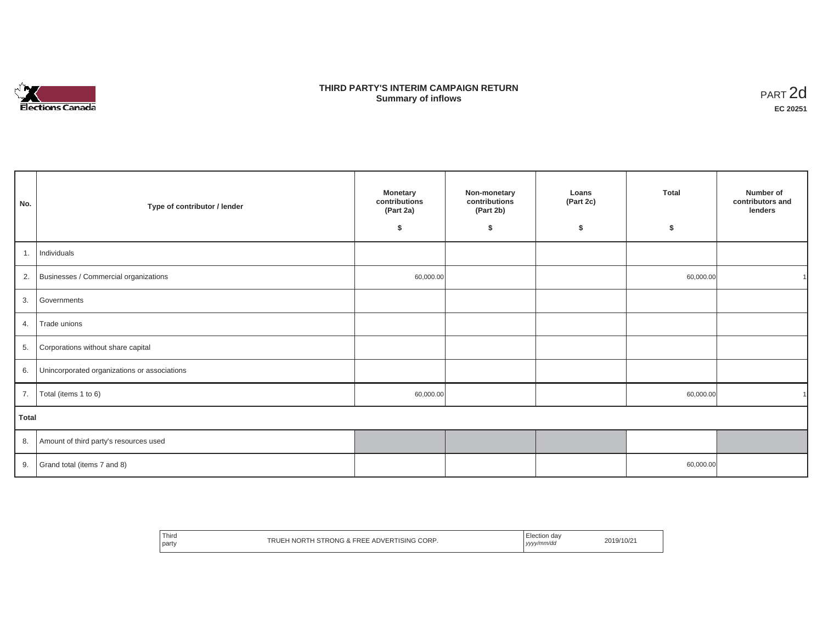

## **THIRD PARTY'S INTERIM CAMPAIGN RETURN SUMMARY STATE SUMMARY OF A SUMMARY OF A SUMMARY OF A SUMMARY OF A SUMMARY OF A SUMMARY OF A SUMMARY OF A SUMMA**<br> **Summary of inflows**

| No.   | Type of contributor / lender                 | <b>Monetary</b><br>contributions<br>(Part 2a)<br>\$ | Non-monetary<br>contributions<br>(Part 2b)<br>\$ | Loans<br>(Part 2c)<br>\$ | Total<br>s. | Number of<br>contributors and<br>lenders |
|-------|----------------------------------------------|-----------------------------------------------------|--------------------------------------------------|--------------------------|-------------|------------------------------------------|
|       | 1. Individuals                               |                                                     |                                                  |                          |             |                                          |
|       | 2. Businesses / Commercial organizations     | 60,000.00                                           |                                                  |                          | 60,000.00   |                                          |
| 3.    | Governments                                  |                                                     |                                                  |                          |             |                                          |
| 4.    | Trade unions                                 |                                                     |                                                  |                          |             |                                          |
| 5.    | Corporations without share capital           |                                                     |                                                  |                          |             |                                          |
| 6.    | Unincorporated organizations or associations |                                                     |                                                  |                          |             |                                          |
| 7.    | Total (items 1 to 6)                         | 60,000.00                                           |                                                  |                          | 60,000.00   |                                          |
| Total |                                              |                                                     |                                                  |                          |             |                                          |
| 8.    | Amount of third party's resources used       |                                                     |                                                  |                          |             |                                          |
|       | 9. Grand total (items $7$ and $8$ )          |                                                     |                                                  |                          | 60,000.00   |                                          |

| Third<br><b>CORP</b><br><b>ISING</b><br><b>STRONG &amp; FREE</b><br>. ADVER <sup>-</sup><br>"RUE<br>"Y NOR L.<br>barty | $\Delta$<br><b>lection</b><br>ww/mm/do<br>,,,,<br>. | 2019/10/21 |
|------------------------------------------------------------------------------------------------------------------------|-----------------------------------------------------|------------|
|------------------------------------------------------------------------------------------------------------------------|-----------------------------------------------------|------------|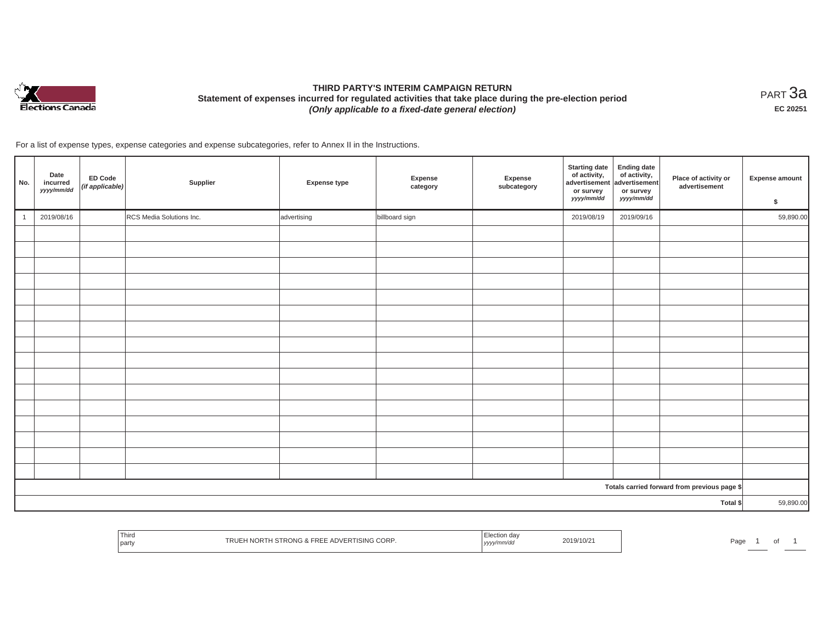

# **THIRD PARTY'S INTERIM CAMPAIGN RETURN Statement of expenses incurred for regulated activities that take place during the pre-election period**  *(Only applicable to a fixed-date general election)*

<code>PART $3$ a</code> **EC 20251**

For a list of expense types, expense categories and expense subcategories, refer to Annex II in the Instructions.

| No.      | Date<br>incurred<br>yyyy/mm/dd | <b>ED Code</b><br>(if applicable) | Supplier                 | Expense type | Expense<br>category | Expense<br>subcategory | <b>Starting date</b><br>of activity,<br>advertisement<br>or survey<br>yyyy/mm/dd | <b>Ending date</b><br>of activity,<br>advertisement<br>or survey<br>yyyy/mm/dd | Place of activity or<br>advertisement        | <b>Expense amount</b><br>\$ |
|----------|--------------------------------|-----------------------------------|--------------------------|--------------|---------------------|------------------------|----------------------------------------------------------------------------------|--------------------------------------------------------------------------------|----------------------------------------------|-----------------------------|
|          | 2019/08/16                     |                                   | RCS Media Solutions Inc. | advertising  | billboard sign      |                        | 2019/08/19                                                                       | 2019/09/16                                                                     |                                              | 59,890.00                   |
|          |                                |                                   |                          |              |                     |                        |                                                                                  |                                                                                |                                              |                             |
|          |                                |                                   |                          |              |                     |                        |                                                                                  |                                                                                |                                              |                             |
|          |                                |                                   |                          |              |                     |                        |                                                                                  |                                                                                |                                              |                             |
|          |                                |                                   |                          |              |                     |                        |                                                                                  |                                                                                |                                              |                             |
|          |                                |                                   |                          |              |                     |                        |                                                                                  |                                                                                |                                              |                             |
|          |                                |                                   |                          |              |                     |                        |                                                                                  |                                                                                |                                              |                             |
|          |                                |                                   |                          |              |                     |                        |                                                                                  |                                                                                |                                              |                             |
|          |                                |                                   |                          |              |                     |                        |                                                                                  |                                                                                |                                              |                             |
|          |                                |                                   |                          |              |                     |                        |                                                                                  |                                                                                |                                              |                             |
|          |                                |                                   |                          |              |                     |                        |                                                                                  |                                                                                |                                              |                             |
|          |                                |                                   |                          |              |                     |                        |                                                                                  |                                                                                |                                              |                             |
|          |                                |                                   |                          |              |                     |                        |                                                                                  |                                                                                |                                              |                             |
|          |                                |                                   |                          |              |                     |                        |                                                                                  |                                                                                |                                              |                             |
|          |                                |                                   |                          |              |                     |                        |                                                                                  |                                                                                |                                              |                             |
|          |                                |                                   |                          |              |                     |                        |                                                                                  |                                                                                |                                              |                             |
|          |                                |                                   |                          |              |                     |                        |                                                                                  |                                                                                |                                              |                             |
|          |                                |                                   |                          |              |                     |                        |                                                                                  |                                                                                | Totals carried forward from previous page \$ |                             |
| Total \$ |                                |                                   |                          |              |                     |                        |                                                                                  | 59,890.00                                                                      |                                              |                             |

|  | Third<br>party | H NORTH STRONG & FREE ADVERTISING CORP.<br>TRUEH. | . ∟lection da∨<br>yyyy/mm/dd | 2019/10/21 | Page. |  | $\cdot$ |  |
|--|----------------|---------------------------------------------------|------------------------------|------------|-------|--|---------|--|
|--|----------------|---------------------------------------------------|------------------------------|------------|-------|--|---------|--|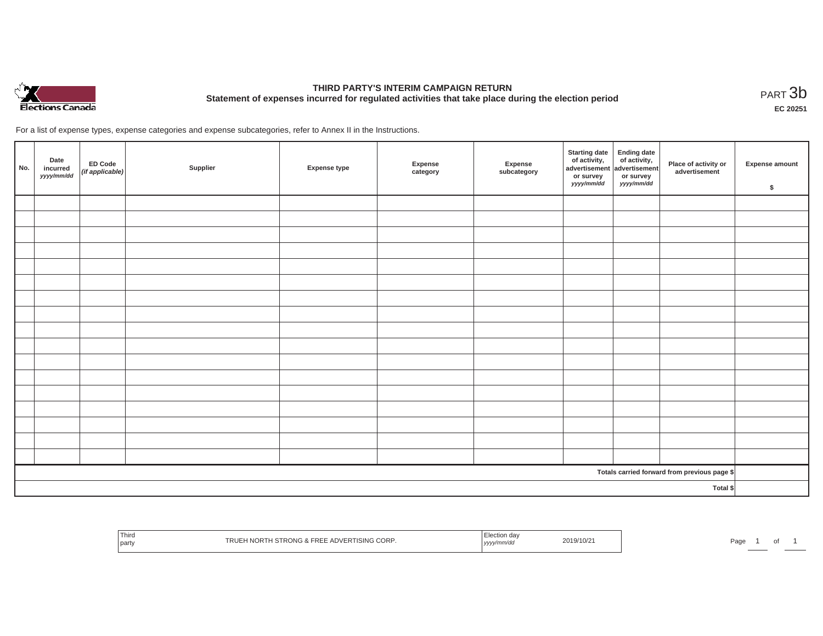

# **THIRD PARTY'S INTERIM CAMPAIGN RETURN Statement of expenses incurred for regulated activities that take place during the election period**<br>PART  $3\text{b}$

**EC 20251**

For a list of expense types, expense categories and expense subcategories, refer to Annex II in the Instructions.

| No.                                          | Date<br>incurred<br>yyyy/mm/dd | ED Code<br>(if applicable) | Supplier | <b>Expense type</b> | Expense<br>category | Expense<br>subcategory | Starting date<br>of activity,<br>advertisement<br>or survey<br>yyyy/mm/dd | Ending date<br>of activity,<br>advertisement<br>or survey<br>yyyy/mm/dd | Place of activity or<br>advertisement | Expense amount<br>\$ |
|----------------------------------------------|--------------------------------|----------------------------|----------|---------------------|---------------------|------------------------|---------------------------------------------------------------------------|-------------------------------------------------------------------------|---------------------------------------|----------------------|
|                                              |                                |                            |          |                     |                     |                        |                                                                           |                                                                         |                                       |                      |
|                                              |                                |                            |          |                     |                     |                        |                                                                           |                                                                         |                                       |                      |
|                                              |                                |                            |          |                     |                     |                        |                                                                           |                                                                         |                                       |                      |
|                                              |                                |                            |          |                     |                     |                        |                                                                           |                                                                         |                                       |                      |
|                                              |                                |                            |          |                     |                     |                        |                                                                           |                                                                         |                                       |                      |
|                                              |                                |                            |          |                     |                     |                        |                                                                           |                                                                         |                                       |                      |
|                                              |                                |                            |          |                     |                     |                        |                                                                           |                                                                         |                                       |                      |
|                                              |                                |                            |          |                     |                     |                        |                                                                           |                                                                         |                                       |                      |
|                                              |                                |                            |          |                     |                     |                        |                                                                           |                                                                         |                                       |                      |
|                                              |                                |                            |          |                     |                     |                        |                                                                           |                                                                         |                                       |                      |
|                                              |                                |                            |          |                     |                     |                        |                                                                           |                                                                         |                                       |                      |
|                                              |                                |                            |          |                     |                     |                        |                                                                           |                                                                         |                                       |                      |
|                                              |                                |                            |          |                     |                     |                        |                                                                           |                                                                         |                                       |                      |
|                                              |                                |                            |          |                     |                     |                        |                                                                           |                                                                         |                                       |                      |
|                                              |                                |                            |          |                     |                     |                        |                                                                           |                                                                         |                                       |                      |
|                                              |                                |                            |          |                     |                     |                        |                                                                           |                                                                         |                                       |                      |
|                                              |                                |                            |          |                     |                     |                        |                                                                           |                                                                         |                                       |                      |
| Totals carried forward from previous page \$ |                                |                            |          |                     |                     |                        |                                                                           |                                                                         |                                       |                      |
| Total \$                                     |                                |                            |          |                     |                     |                        |                                                                           |                                                                         |                                       |                      |

| i nira<br>part | <b>CORP</b><br>ISING I<br>$\cdots$<br>nι | , уууулг | 2019/10/2 | ີ່ ຕ<br>aut' |
|----------------|------------------------------------------|----------|-----------|--------------|
|----------------|------------------------------------------|----------|-----------|--------------|